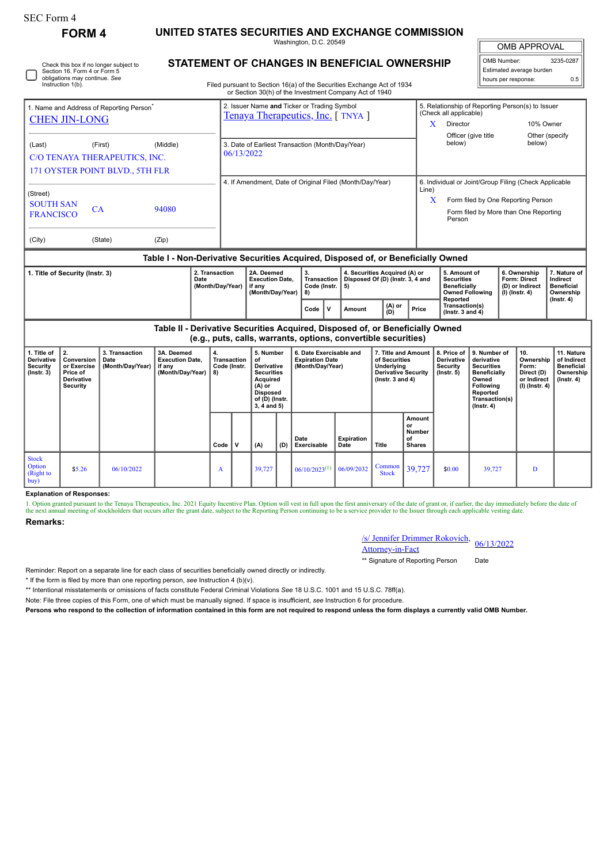| <b>SEC Form 4</b>                                                                                       |                                                                              |                                            |                                                                                  |                                                |                                                                                        |                                                                                                                                              |     |                                                                                                                                  |                    |                                                                                                          |                                                                             |                                                                                    |                                                                                                                                                       |                     |                                                                          |                                                                                 |  |
|---------------------------------------------------------------------------------------------------------|------------------------------------------------------------------------------|--------------------------------------------|----------------------------------------------------------------------------------|------------------------------------------------|----------------------------------------------------------------------------------------|----------------------------------------------------------------------------------------------------------------------------------------------|-----|----------------------------------------------------------------------------------------------------------------------------------|--------------------|----------------------------------------------------------------------------------------------------------|-----------------------------------------------------------------------------|------------------------------------------------------------------------------------|-------------------------------------------------------------------------------------------------------------------------------------------------------|---------------------|--------------------------------------------------------------------------|---------------------------------------------------------------------------------|--|
| <b>FORM 4</b>                                                                                           |                                                                              |                                            |                                                                                  |                                                | UNITED STATES SECURITIES AND EXCHANGE COMMISSION<br>Washington, D.C. 20549             |                                                                                                                                              |     |                                                                                                                                  |                    |                                                                                                          |                                                                             |                                                                                    |                                                                                                                                                       | <b>OMB APPROVAL</b> |                                                                          |                                                                                 |  |
| Check this box if no longer subject to<br>Section 16. Form 4 or Form 5<br>obligations may continue. See |                                                                              |                                            |                                                                                  |                                                | STATEMENT OF CHANGES IN BENEFICIAL OWNERSHIP                                           |                                                                                                                                              |     |                                                                                                                                  |                    |                                                                                                          |                                                                             |                                                                                    | 3235-0287<br>OMB Number:<br>Estimated average burden<br>0.5<br>hours per response:                                                                    |                     |                                                                          |                                                                                 |  |
|                                                                                                         | Instruction 1(b).                                                            |                                            |                                                                                  |                                                |                                                                                        |                                                                                                                                              |     | Filed pursuant to Section 16(a) of the Securities Exchange Act of 1934<br>or Section 30(h) of the Investment Company Act of 1940 |                    |                                                                                                          |                                                                             |                                                                                    |                                                                                                                                                       |                     |                                                                          |                                                                                 |  |
| 1. Name and Address of Reporting Person<br><b>CHEN JIN-LONG</b>                                         |                                                                              |                                            |                                                                                  |                                                |                                                                                        |                                                                                                                                              |     | 2. Issuer Name and Ticker or Trading Symbol<br>Tenaya Therapeutics, Inc. [TNYA]                                                  |                    |                                                                                                          | (Check all applicable)<br>Director<br>$\mathbf{X}$                          |                                                                                    | 5. Relationship of Reporting Person(s) to Issuer<br>10% Owner                                                                                         |                     |                                                                          |                                                                                 |  |
| (Middle)<br>(Last)<br>(First)<br>C/O TENAYA THERAPEUTICS, INC.                                          |                                                                              |                                            |                                                                                  |                                                | 3. Date of Earliest Transaction (Month/Day/Year)<br>06/13/2022                         |                                                                                                                                              |     |                                                                                                                                  |                    |                                                                                                          |                                                                             |                                                                                    | Officer (give title<br>Other (specify<br>below)<br>below)                                                                                             |                     |                                                                          |                                                                                 |  |
| 171 OYSTER POINT BLVD., 5TH FLR                                                                         |                                                                              |                                            |                                                                                  |                                                | 4. If Amendment, Date of Original Filed (Month/Day/Year)                               |                                                                                                                                              |     |                                                                                                                                  |                    |                                                                                                          |                                                                             | 6. Individual or Joint/Group Filing (Check Applicable                              |                                                                                                                                                       |                     |                                                                          |                                                                                 |  |
| (Street)<br><b>SOUTH SAN</b><br><b>FRANCISCO</b>                                                        | 94080                                                                        |                                            | Line)<br>X<br>Person                                                             |                                                |                                                                                        |                                                                                                                                              |     |                                                                                                                                  |                    |                                                                                                          | Form filed by One Reporting Person<br>Form filed by More than One Reporting |                                                                                    |                                                                                                                                                       |                     |                                                                          |                                                                                 |  |
| (City)                                                                                                  |                                                                              | (State)                                    | (Zip)                                                                            |                                                |                                                                                        |                                                                                                                                              |     |                                                                                                                                  |                    |                                                                                                          |                                                                             |                                                                                    |                                                                                                                                                       |                     |                                                                          |                                                                                 |  |
|                                                                                                         |                                                                              |                                            | Table I - Non-Derivative Securities Acquired, Disposed of, or Beneficially Owned |                                                |                                                                                        |                                                                                                                                              |     |                                                                                                                                  |                    |                                                                                                          |                                                                             |                                                                                    |                                                                                                                                                       |                     |                                                                          |                                                                                 |  |
| 1. Title of Security (Instr. 3)<br>Date                                                                 |                                                                              |                                            |                                                                                  | 2. Transaction                                 | 2A. Deemed<br><b>Execution Date.</b><br>(Month/Day/Year)<br>if any<br>(Month/Day/Year) |                                                                                                                                              |     | 3.<br>Transaction<br>Code (Instr.<br>5)<br>8)                                                                                    |                    | 4. Securities Acquired (A) or<br>Disposed Of (D) (Instr. 3, 4 and                                        |                                                                             | 5. Amount of<br><b>Securities</b><br><b>Beneficially</b><br><b>Owned Following</b> |                                                                                                                                                       |                     | 6. Ownership<br><b>Form: Direct</b><br>(D) or Indirect<br>(I) (Instr. 4) | 7. Nature of<br>Indirect<br><b>Beneficial</b><br>Ownership                      |  |
|                                                                                                         |                                                                              |                                            |                                                                                  |                                                |                                                                                        |                                                                                                                                              |     | V<br>Code                                                                                                                        | Amount             | (A) or<br>(D)                                                                                            | Price                                                                       | Reported<br>Transaction(s)<br>(Instr. $3$ and $4$ )                                |                                                                                                                                                       |                     |                                                                          | $($ Instr. 4 $)$                                                                |  |
|                                                                                                         |                                                                              |                                            | Table II - Derivative Securities Acquired, Disposed of, or Beneficially Owned    |                                                |                                                                                        |                                                                                                                                              |     | (e.g., puts, calls, warrants, options, convertible securities)                                                                   |                    |                                                                                                          |                                                                             |                                                                                    |                                                                                                                                                       |                     |                                                                          |                                                                                 |  |
| 1. Title of<br>Derivative<br><b>Security</b><br>$($ Instr. 3 $)$                                        | 2.<br>Conversion<br>or Exercise<br>Price of<br>Derivative<br><b>Security</b> | 3. Transaction<br>Date<br>(Month/Day/Year) | 3A. Deemed<br><b>Execution Date,</b><br>if any<br>(Month/Day/Year)               | 4.<br><b>Transaction</b><br>Code (Instr.<br>8) |                                                                                        | 5. Number<br>of<br><b>Derivative</b><br><b>Securities</b><br><b>Acquired</b><br>$(A)$ or<br><b>Disposed</b><br>of (D) (Instr.<br>3, 4 and 5) |     | 6. Date Exercisable and<br><b>Expiration Date</b><br>(Month/Day/Year)                                                            |                    | 7. Title and Amount<br>of Securities<br>Underlying<br><b>Derivative Security</b><br>( $lnstr. 3 and 4$ ) |                                                                             | 8. Price of<br>Derivative<br>Security<br>$($ Instr. $5)$                           | 9. Number of<br>derivative<br><b>Securities</b><br><b>Beneficially</b><br>Owned<br><b>Following</b><br>Reported<br>Transaction(s)<br>$($ Instr. 4 $)$ |                     | 10.<br>Ownership<br>Form:<br>Direct (D)<br>or Indirect<br>(I) (Instr. 4) | 11. Nature<br>of Indirect<br><b>Beneficial</b><br>Ownership<br>$($ Instr. 4 $)$ |  |
|                                                                                                         |                                                                              |                                            |                                                                                  | Code                                           | $\mathsf{v}$                                                                           | (A)                                                                                                                                          | (D) | Date<br>Exercisable                                                                                                              | Expiration<br>Date | Title                                                                                                    | Amount<br>or<br><b>Number</b><br>of<br><b>Shares</b>                        |                                                                                    |                                                                                                                                                       |                     |                                                                          |                                                                                 |  |
| <b>Stock</b><br>Option<br>(Right to<br>buv)                                                             | \$5.26                                                                       | 06/10/2022                                 |                                                                                  | A                                              |                                                                                        | 39,727                                                                                                                                       |     | $06/10/2023^{(1)}$                                                                                                               | 06/09/2032         | Common<br><b>Stock</b>                                                                                   | 39,727                                                                      | \$0.00                                                                             | 39,727                                                                                                                                                |                     | D                                                                        |                                                                                 |  |

## **Explanation of Responses:**

1. Option granted pursuant to the Tenaya Therapeutics, Inc. 2021 Equity Incentive Plan. Option will vest in full upon the first anniversary of the date of grant or, if earlier, the day immediately before the date of the next annual meeting of stockholders that occurs after the grant date, subject to the Reporting Person continuing to be a service provider to the Issuer through each applicable vesting date

## **Remarks:**

| /s/ Jennifer Drimmer Rokovich, 06/13/2022 |  |  |  |  |
|-------------------------------------------|--|--|--|--|
| <b>Attorney-in-Fact</b>                   |  |  |  |  |

\*\* Signature of Reporting Person Date

Reminder: Report on a separate line for each class of securities beneficially owned directly or indirectly.

\* If the form is filed by more than one reporting person, *see* Instruction 4 (b)(v).

\*\* Intentional misstatements or omissions of facts constitute Federal Criminal Violations *See* 18 U.S.C. 1001 and 15 U.S.C. 78ff(a).

Note: File three copies of this Form, one of which must be manually signed. If space is insufficient, *see* Instruction 6 for procedure.

**Persons who respond to the collection of information contained in this form are not required to respond unless the form displays a currently valid OMB Number.**